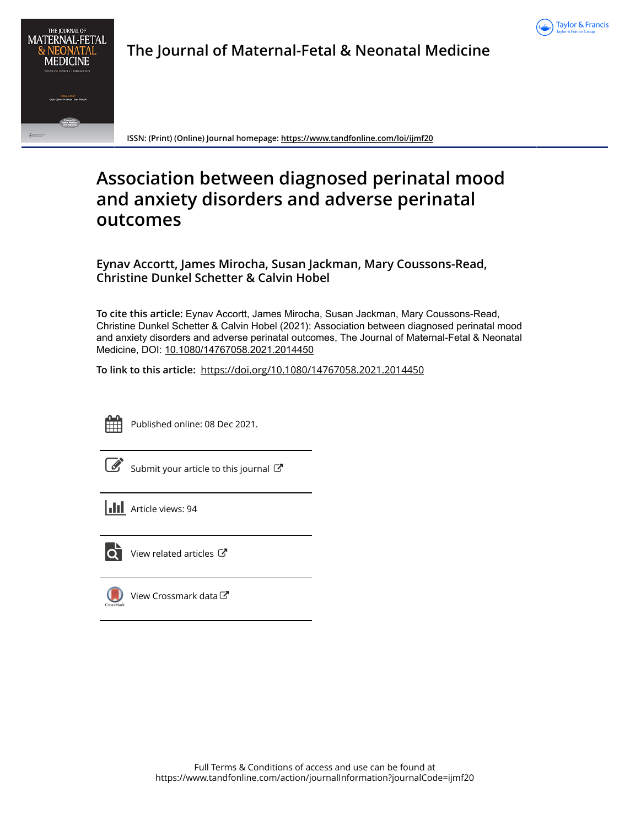



**The Journal of Maternal-Fetal & Neonatal Medicine**

**ISSN: (Print) (Online) Journal homepage:<https://www.tandfonline.com/loi/ijmf20>**

# **Association between diagnosed perinatal mood and anxiety disorders and adverse perinatal outcomes**

**Eynav Accortt, James Mirocha, Susan Jackman, Mary Coussons-Read, Christine Dunkel Schetter & Calvin Hobel**

**To cite this article:** Eynav Accortt, James Mirocha, Susan Jackman, Mary Coussons-Read, Christine Dunkel Schetter & Calvin Hobel (2021): Association between diagnosed perinatal mood and anxiety disorders and adverse perinatal outcomes, The Journal of Maternal-Fetal & Neonatal Medicine, DOI: [10.1080/14767058.2021.2014450](https://www.tandfonline.com/action/showCitFormats?doi=10.1080/14767058.2021.2014450)

**To link to this article:** <https://doi.org/10.1080/14767058.2021.2014450>



Published online: 08 Dec 2021.

[Submit your article to this journal](https://www.tandfonline.com/action/authorSubmission?journalCode=ijmf20&show=instructions)  $\mathbb{Z}$ 

**III** Article views: 94



[View related articles](https://www.tandfonline.com/doi/mlt/10.1080/14767058.2021.2014450)  $\mathbb{Z}$ 



 $\bigcirc$  [View Crossmark data](http://crossmark.crossref.org/dialog/?doi=10.1080/14767058.2021.2014450&domain=pdf&date_stamp=2021-12-08) $\mathbb{Z}$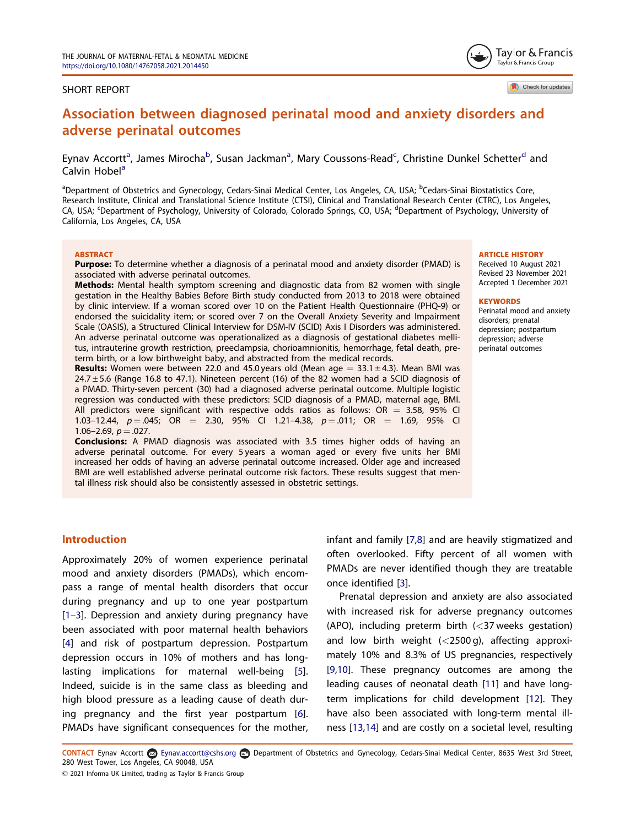#### <span id="page-1-0"></span>SHORT REPORT

Check for updates

Tavlor & Francis Taylor & Francis Group

## Association between diagnosed perinatal mood and anxiety disorders and adverse perinatal outcomes

Eynav Accortt<sup>a</sup>, James Mirocha<sup>b</sup>, Susan Jackman<sup>a</sup>, Mary Coussons-Read<sup>c</sup>, Christine Dunkel Schetter<sup>d</sup> and Calvin Hobel<sup>a</sup>

<sup>a</sup>Department of Obstetrics and Gynecology, Cedars-Sinai Medical Center, Los Angeles, CA, USA; <sup>b</sup>Cedars-Sinai Biostatistics Core, Research Institute, Clinical and Translational Science Institute (CTSI), Clinical and Translational Research Center (CTRC), Los Angeles, CA, USA; <sup>c</sup>Department of Psychology, University of Colorado, Colorado Springs, CO, USA; <sup>d</sup>Department of Psychology, University of California, Los Angeles, CA, USA

#### **ABSTRACT**

Purpose: To determine whether a diagnosis of a perinatal mood and anxiety disorder (PMAD) is associated with adverse perinatal outcomes.

Methods: Mental health symptom screening and diagnostic data from 82 women with single gestation in the Healthy Babies Before Birth study conducted from 2013 to 2018 were obtained by clinic interview. If a woman scored over 10 on the Patient Health Questionnaire (PHQ-9) or endorsed the suicidality item; or scored over 7 on the Overall Anxiety Severity and Impairment Scale (OASIS), a Structured Clinical Interview for DSM-IV (SCID) Axis I Disorders was administered. An adverse perinatal outcome was operationalized as a diagnosis of gestational diabetes mellitus, intrauterine growth restriction, preeclampsia, chorioamnionitis, hemorrhage, fetal death, preterm birth, or a low birthweight baby, and abstracted from the medical records.

**Results:** Women were between 22.0 and 45.0 years old (Mean age  $= 33.1 \pm 4.3$ ). Mean BMI was 24.7 ± 5.6 (Range 16.8 to 47.1). Nineteen percent (16) of the 82 women had a SCID diagnosis of a PMAD. Thirty-seven percent (30) had a diagnosed adverse perinatal outcome. Multiple logistic regression was conducted with these predictors: SCID diagnosis of a PMAD, maternal age, BMI. All predictors were significant with respective odds ratios as follows:  $OR = 3.58, 95\%$  CI 1.03–12.44,  $p = .045$ ; OR = 2.30, 95% CI 1.21–4.38,  $p = .011$ ; OR = 1.69, 95% CI 1.06–2.69,  $p = .027$ .

Conclusions: A PMAD diagnosis was associated with 3.5 times higher odds of having an adverse perinatal outcome. For every 5 years a woman aged or every five units her BMI increased her odds of having an adverse perinatal outcome increased. Older age and increased BMI are well established adverse perinatal outcome risk factors. These results suggest that mental illness risk should also be consistently assessed in obstetric settings.

#### **ARTICLE HISTORY**

Received 10 August 2021 Revised 23 November 2021 Accepted 1 December 2021

#### **KEYWORDS**

Perinatal mood and anxiety disorders; prenatal depression; postpartum depression; adverse perinatal outcomes

#### **Introduction**

Approximately 20% of women experience perinatal mood and anxiety disorders (PMADs), which encompass a range of mental health disorders that occur during pregnancy and up to one year postpartum [1–[3\]](#page-5-0). Depression and anxiety during pregnancy have been associated with poor maternal health behaviors [[4\]](#page-5-0) and risk of postpartum depression. Postpartum depression occurs in 10% of mothers and has longlasting implications for maternal well-being [[5\]](#page-5-0). Indeed, suicide is in the same class as bleeding and high blood pressure as a leading cause of death during pregnancy and the first year postpartum [[6\]](#page-5-0). PMADs have significant consequences for the mother, infant and family [\[7,8](#page-5-0)] and are heavily stigmatized and often overlooked. Fifty percent of all women with PMADs are never identified though they are treatable once identified [[3\]](#page-5-0).

Prenatal depression and anxiety are also associated with increased risk for adverse pregnancy outcomes (APO), including preterm birth (<37 weeks gestation) and low birth weight  $(<2500 \text{ g})$ , affecting approximately 10% and 8.3% of US pregnancies, respectively [[9,10\]](#page-5-0). These pregnancy outcomes are among the leading causes of neonatal death [[11](#page-5-0)] and have longterm implications for child development [[12](#page-5-0)]. They have also been associated with long-term mental illness [\[13,14\]](#page-5-0) and are costly on a societal level, resulting

CONTACT Eynav Accortt Eynav.accortt@cshs.org Department of Obstetrics and Gynecology, Cedars-Sinai Medical Center, 8635 West 3rd Street, 280 West Tower, Los Angeles, CA 90048, USA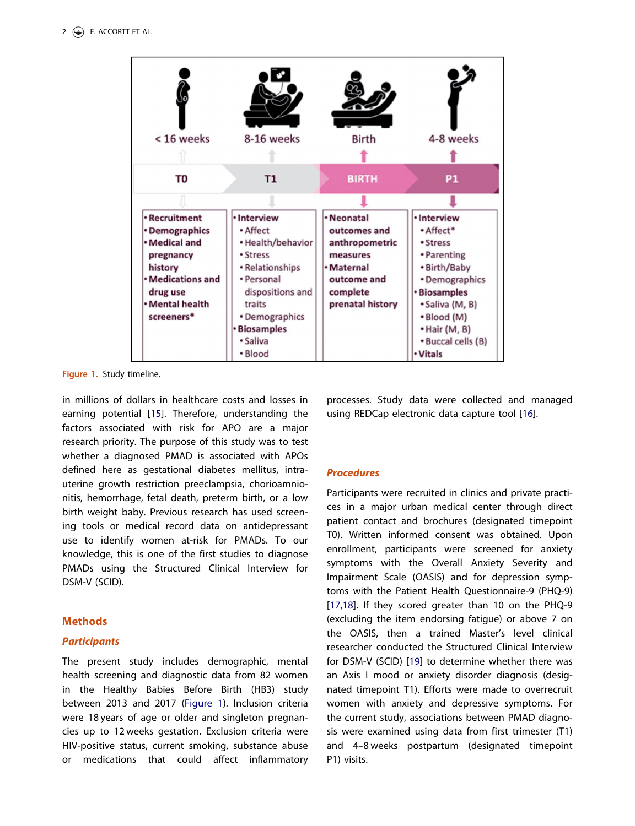<span id="page-2-0"></span>

Figure 1. Study timeline.

in millions of dollars in healthcare costs and losses in earning potential [[15\]](#page-5-0). Therefore, understanding the factors associated with risk for APO are a major research priority. The purpose of this study was to test whether a diagnosed PMAD is associated with APOs defined here as gestational diabetes mellitus, intrauterine growth restriction preeclampsia, chorioamnionitis, hemorrhage, fetal death, preterm birth, or a low birth weight baby. Previous research has used screening tools or medical record data on antidepressant use to identify women at-risk for PMADs. To our knowledge, this is one of the first studies to diagnose PMADs using the Structured Clinical Interview for DSM-V (SCID).

## Methods

## **Participants**

The present study includes demographic, mental health screening and diagnostic data from 82 women in the Healthy Babies Before Birth (HB3) study between 2013 and 2017 (Figure 1). Inclusion criteria were 18 years of age or older and singleton pregnancies up to 12 weeks gestation. Exclusion criteria were HIV-positive status, current smoking, substance abuse or medications that could affect inflammatory

processes. Study data were collected and managed using REDCap electronic data capture tool [\[16\]](#page-5-0).

## **Procedures**

Participants were recruited in clinics and private practices in a major urban medical center through direct patient contact and brochures (designated timepoint T0). Written informed consent was obtained. Upon enrollment, participants were screened for anxiety symptoms with the Overall Anxiety Severity and Impairment Scale (OASIS) and for depression symptoms with the Patient Health Questionnaire-9 (PHQ-9) [[17,18](#page-5-0)]. If they scored greater than 10 on the PHQ-9 (excluding the item endorsing fatigue) or above 7 on the OASIS, then a trained Master's level clinical researcher conducted the Structured Clinical Interview for DSM-V (SCID) [[19](#page-5-0)] to determine whether there was an Axis I mood or anxiety disorder diagnosis (designated timepoint T1). Efforts were made to overrecruit women with anxiety and depressive symptoms. For the current study, associations between PMAD diagnosis were examined using data from first trimester (T1) and 4–8 weeks postpartum (designated timepoint P1) visits.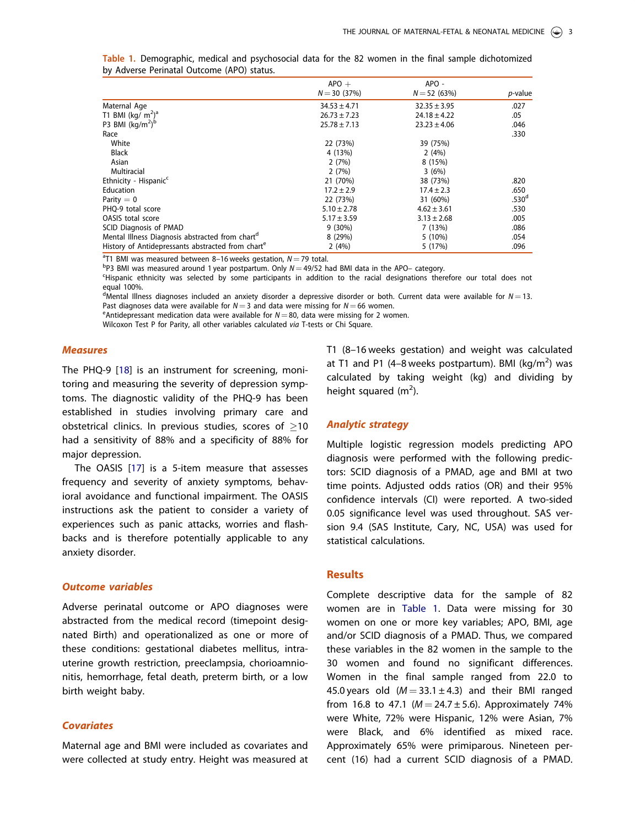|                                                               | $APO +$          | APO -            |                   |  |
|---------------------------------------------------------------|------------------|------------------|-------------------|--|
|                                                               | $N = 30(37%)$    | $N = 52(63%)$    | p-value           |  |
| Maternal Age                                                  | $34.53 \pm 4.71$ | $32.35 \pm 3.95$ | .027              |  |
| T1 BMI (kg/ $m^2$ ) <sup>a</sup>                              | $26.73 \pm 7.23$ | $24.18 \pm 4.22$ | .05               |  |
| P3 BMI $(kg/m2)b$                                             | $25.78 \pm 7.13$ | $23.23 \pm 4.06$ | .046              |  |
| Race                                                          |                  |                  | .330              |  |
| White                                                         | 22 (73%)         | 39 (75%)         |                   |  |
| Black                                                         | 4 (13%)          | 2(4%)            |                   |  |
| Asian                                                         | 2(7%)            | 8 (15%)          |                   |  |
| Multiracial                                                   | 2(7%)            | 3(6%)            |                   |  |
| Ethnicity - Hispanic <sup>c</sup>                             | 21 (70%)         | 38 (73%)         | .820              |  |
| <b>Education</b>                                              | $17.2 \pm 2.9$   | $17.4 \pm 2.3$   | .650              |  |
| Parity $= 0$                                                  | 22 (73%)         | 31 (60%)         | .530 <sup>d</sup> |  |
| PHO-9 total score                                             | $5.10 \pm 2.78$  | $4.62 \pm 3.61$  | .530              |  |
| <b>OASIS</b> total score                                      | $5.17 \pm 3.59$  | $3.13 \pm 2.68$  | .005              |  |
| <b>SCID Diagnosis of PMAD</b>                                 | $9(30\%)$        | 7(13%)           | .086              |  |
| Mental Illness Diagnosis abstracted from chart <sup>a</sup>   | 8(29%)           | 5(10%)           | .054              |  |
| History of Antidepressants abstracted from chart <sup>e</sup> | 2(4%)            | 5 (17%)          | .096              |  |

<span id="page-3-0"></span>Table 1. Demographic, medical and psychosocial data for the 82 women in the final sample dichotomized by Adverse Perinatal Outcome (APO) status.

<sup>a</sup>T1 BMI was measured between 8-16 weeks gestation,  $N = 79$  total.<br>**bp3 BMI was measured around 1 year postpartum** Oply  $N = 49/52$  b

 $^{b}P3$  BMI was measured around 1 year postpartum. Only  $N = 49/52$  had BMI data in the APO– category.

Hispanic ethnicity was selected by some participants in addition to the racial designations therefore our total does not equal 100%.

<sup>d</sup>Mental Illness diagnoses included an anxiety disorder a depressive disorder or both. Current data were available for  $N = 13$ . Past diagnoses data were available for  $N = 3$  and data were missing for  $N = 66$  women.

<sup>e</sup> Antidepressant medication data were available for  $N = 80$ , data were missing for 2 women.

Wilcoxon Test P for Parity, all other variables calculated via T-tests or Chi Square.

#### Measures

The PHQ-9 [[18](#page-5-0)] is an instrument for screening, monitoring and measuring the severity of depression symptoms. The diagnostic validity of the PHQ-9 has been established in studies involving primary care and obstetrical clinics. In previous studies, scores of  $\geq$ 10 had a sensitivity of 88% and a specificity of 88% for major depression.

The OASIS [[17](#page-5-0)] is a 5-item measure that assesses frequency and severity of anxiety symptoms, behavioral avoidance and functional impairment. The OASIS instructions ask the patient to consider a variety of experiences such as panic attacks, worries and flashbacks and is therefore potentially applicable to any anxiety disorder.

#### Outcome variables

Adverse perinatal outcome or APO diagnoses were abstracted from the medical record (timepoint designated Birth) and operationalized as one or more of these conditions: gestational diabetes mellitus, intrauterine growth restriction, preeclampsia, chorioamnionitis, hemorrhage, fetal death, preterm birth, or a low birth weight baby.

#### **Covariates**

Maternal age and BMI were included as covariates and were collected at study entry. Height was measured at T1 (8–16 weeks gestation) and weight was calculated at T1 and P1 (4–8 weeks postpartum). BMI (kg/m<sup>2</sup>) was calculated by taking weight (kg) and dividing by height squared  $(m<sup>2</sup>)$ .

#### Analytic strategy

Multiple logistic regression models predicting APO diagnosis were performed with the following predictors: SCID diagnosis of a PMAD, age and BMI at two time points. Adjusted odds ratios (OR) and their 95% confidence intervals (CI) were reported. A two-sided 0.05 significance level was used throughout. SAS version 9.4 (SAS Institute, Cary, NC, USA) was used for statistical calculations.

## Results

Complete descriptive data for the sample of 82 women are in Table 1. Data were missing for 30 women on one or more key variables; APO, BMI, age and/or SCID diagnosis of a PMAD. Thus, we compared these variables in the 82 women in the sample to the 30 women and found no significant differences. Women in the final sample ranged from 22.0 to 45.0 years old  $(M = 33.1 \pm 4.3)$  and their BMI ranged from 16.8 to 47.1 ( $M = 24.7 \pm 5.6$ ). Approximately 74% were White, 72% were Hispanic, 12% were Asian, 7% were Black, and 6% identified as mixed race. Approximately 65% were primiparous. Nineteen percent (16) had a current SCID diagnosis of a PMAD.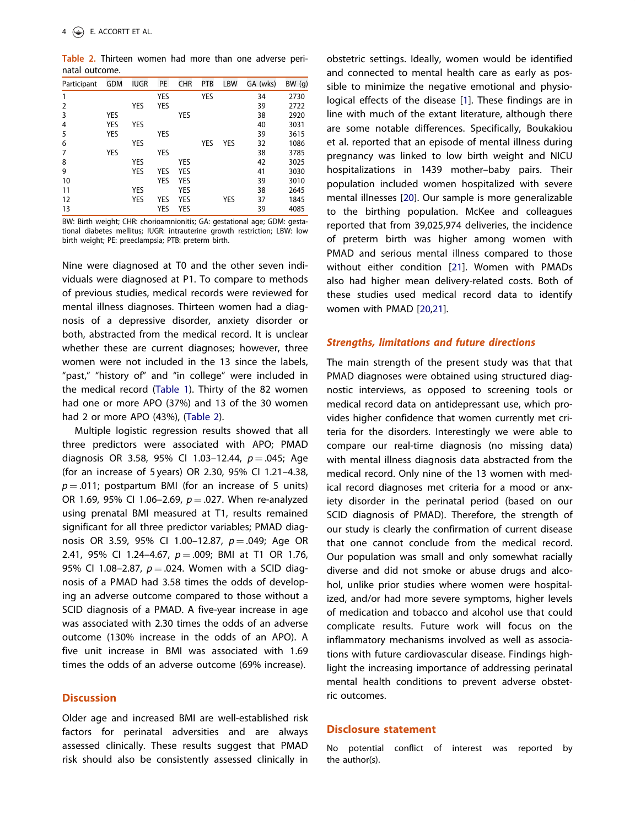<span id="page-4-0"></span>Table 2. Thirteen women had more than one adverse perinatal outcome.

| Participant | GDM | <b>IUGR</b> | <b>PE</b>  | <b>CHR</b> | PTB        | <b>LBW</b> | GA (wks) | BW (g) |
|-------------|-----|-------------|------------|------------|------------|------------|----------|--------|
| 1           |     |             | <b>YES</b> |            | <b>YES</b> |            | 34       | 2730   |
| 2           |     | <b>YES</b>  | <b>YES</b> |            |            |            | 39       | 2722   |
| 3           | YES |             |            | YES        |            |            | 38       | 2920   |
| 4           | YES | YES         |            |            |            |            | 40       | 3031   |
| 5           | YES |             | <b>YES</b> |            |            |            | 39       | 3615   |
| 6           |     | <b>YES</b>  |            |            | <b>YES</b> | <b>YES</b> | 32       | 1086   |
| 7           | YES |             | <b>YES</b> |            |            |            | 38       | 3785   |
| 8           |     | <b>YES</b>  |            | YES        |            |            | 42       | 3025   |
| 9           |     | YES         | YES        | YES        |            |            | 41       | 3030   |
| 10          |     |             | <b>YES</b> | YES        |            |            | 39       | 3010   |
| 11          |     | YES         |            | YES        |            |            | 38       | 2645   |
| 12          |     | <b>YES</b>  | YES        | YES        |            | YES        | 37       | 1845   |
| 13          |     |             | YES        | YES        |            |            | 39       | 4085   |

BW: Birth weight; CHR: chorioamnionitis; GA: gestational age; GDM: gestational diabetes mellitus; IUGR: intrauterine growth restriction; LBW: low birth weight; PE: preeclampsia; PTB: preterm birth.

Nine were diagnosed at T0 and the other seven individuals were diagnosed at P1. To compare to methods of previous studies, medical records were reviewed for mental illness diagnoses. Thirteen women had a diagnosis of a depressive disorder, anxiety disorder or both, abstracted from the medical record. It is unclear whether these are current diagnoses; however, three women were not included in the 13 since the labels, "past," "history of" and "in college" were included in the medical record [\(Table 1](#page-3-0)). Thirty of the 82 women had one or more APO (37%) and 13 of the 30 women had 2 or more APO (43%), (Table 2).

Multiple logistic regression results showed that all three predictors were associated with APO; PMAD diagnosis OR 3.58, 95% CI 1.03-12.44,  $p = .045$ ; Age (for an increase of 5 years) OR 2.30, 95% CI 1.21–4.38,  $p = .011$ ; postpartum BMI (for an increase of 5 units) OR 1.69, 95% CI 1.06-2.69,  $p = .027$ . When re-analyzed using prenatal BMI measured at T1, results remained significant for all three predictor variables; PMAD diagnosis OR 3.59, 95% CI 1.00-12.87,  $p = .049$ ; Age OR 2.41, 95% CI 1.24-4.67,  $p = .009$ ; BMI at T1 OR 1.76, 95% CI 1.08-2.87,  $p = .024$ . Women with a SCID diagnosis of a PMAD had 3.58 times the odds of developing an adverse outcome compared to those without a SCID diagnosis of a PMAD. A five-year increase in age was associated with 2.30 times the odds of an adverse outcome (130% increase in the odds of an APO). A five unit increase in BMI was associated with 1.69 times the odds of an adverse outcome (69% increase).

#### **Discussion**

Older age and increased BMI are well-established risk factors for perinatal adversities and are always assessed clinically. These results suggest that PMAD risk should also be consistently assessed clinically in obstetric settings. Ideally, women would be identified and connected to mental health care as early as possible to minimize the negative emotional and physiological effects of the disease [\[1\]](#page-5-0). These findings are in line with much of the extant literature, although there are some notable differences. Specifically, Boukakiou et al. reported that an episode of mental illness during pregnancy was linked to low birth weight and NICU hospitalizations in 1439 mother–baby pairs. Their population included women hospitalized with severe mental illnesses [\[20](#page-5-0)]. Our sample is more generalizable to the birthing population. McKee and colleagues reported that from 39,025,974 deliveries, the incidence of preterm birth was higher among women with PMAD and serious mental illness compared to those without either condition [[21\]](#page-5-0). Women with PMADs also had higher mean delivery-related costs. Both of these studies used medical record data to identify women with PMAD [[20,21\]](#page-5-0).

#### Strengths, limitations and future directions

The main strength of the present study was that that PMAD diagnoses were obtained using structured diagnostic interviews, as opposed to screening tools or medical record data on antidepressant use, which provides higher confidence that women currently met criteria for the disorders. Interestingly we were able to compare our real-time diagnosis (no missing data) with mental illness diagnosis data abstracted from the medical record. Only nine of the 13 women with medical record diagnoses met criteria for a mood or anxiety disorder in the perinatal period (based on our SCID diagnosis of PMAD). Therefore, the strength of our study is clearly the confirmation of current disease that one cannot conclude from the medical record. Our population was small and only somewhat racially diverse and did not smoke or abuse drugs and alcohol, unlike prior studies where women were hospitalized, and/or had more severe symptoms, higher levels of medication and tobacco and alcohol use that could complicate results. Future work will focus on the inflammatory mechanisms involved as well as associations with future cardiovascular disease. Findings highlight the increasing importance of addressing perinatal mental health conditions to prevent adverse obstetric outcomes.

#### Disclosure statement

No potential conflict of interest was reported by the author(s).